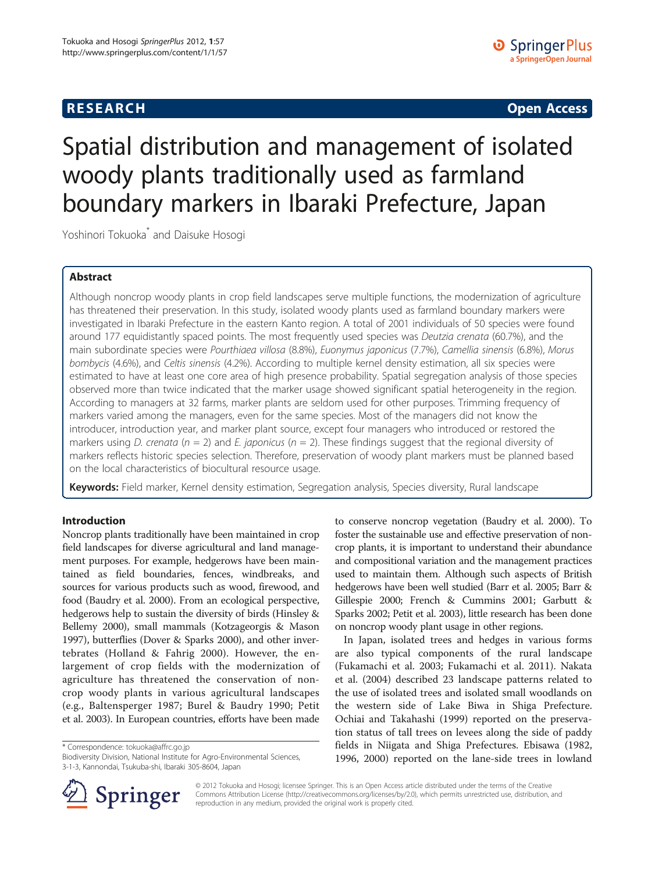## **RESEARCH CHINESE ARCH CHINESE ARCH CHINESE ARCH <b>CHINESE ARCH**

# Spatial distribution and management of isolated woody plants traditionally used as farmland boundary markers in Ibaraki Prefecture, Japan

Yoshinori Tokuoka<sup>\*</sup> and Daisuke Hosogi

## Abstract

Although noncrop woody plants in crop field landscapes serve multiple functions, the modernization of agriculture has threatened their preservation. In this study, isolated woody plants used as farmland boundary markers were investigated in Ibaraki Prefecture in the eastern Kanto region. A total of 2001 individuals of 50 species were found around 177 equidistantly spaced points. The most frequently used species was Deutzia crenata (60.7%), and the main subordinate species were Pourthiaea villosa (8.8%), Euonymus japonicus (7.7%), Camellia sinensis (6.8%), Morus bombycis (4.6%), and Celtis sinensis (4.2%). According to multiple kernel density estimation, all six species were estimated to have at least one core area of high presence probability. Spatial segregation analysis of those species observed more than twice indicated that the marker usage showed significant spatial heterogeneity in the region. According to managers at 32 farms, marker plants are seldom used for other purposes. Trimming frequency of markers varied among the managers, even for the same species. Most of the managers did not know the introducer, introduction year, and marker plant source, except four managers who introduced or restored the markers using D. crenata ( $n = 2$ ) and E. japonicus ( $n = 2$ ). These findings suggest that the regional diversity of markers reflects historic species selection. Therefore, preservation of woody plant markers must be planned based on the local characteristics of biocultural resource usage.

Keywords: Field marker, Kernel density estimation, Segregation analysis, Species diversity, Rural landscape

## Introduction

Noncrop plants traditionally have been maintained in crop field landscapes for diverse agricultural and land management purposes. For example, hedgerows have been maintained as field boundaries, fences, windbreaks, and sources for various products such as wood, firewood, and food (Baudry et al. [2000\)](#page-7-0). From an ecological perspective, hedgerows help to sustain the diversity of birds (Hinsley & Bellemy [2000](#page-7-0)), small mammals (Kotzageorgis & Mason [1997\)](#page-7-0), butterflies (Dover & Sparks [2000\)](#page-7-0), and other invertebrates (Holland & Fahrig [2000\)](#page-7-0). However, the enlargement of crop fields with the modernization of agriculture has threatened the conservation of noncrop woody plants in various agricultural landscapes (e.g., Baltensperger [1987;](#page-7-0) Burel & Baudry [1990](#page-7-0); Petit et al. [2003](#page-7-0)). In European countries, efforts have been made

\* Correspondence: [tokuoka@affrc.go.jp](mailto:tokuoka@affrc.go.jp)

Biodiversity Division, National Institute for Agro-Environmental Sciences, 3-1-3, Kannondai, Tsukuba-shi, Ibaraki 305-8604, Japan



In Japan, isolated trees and hedges in various forms are also typical components of the rural landscape (Fukamachi et al. [2003](#page-7-0); Fukamachi et al. [2011](#page-7-0)). Nakata et al. ([2004\)](#page-7-0) described 23 landscape patterns related to the use of isolated trees and isolated small woodlands on the western side of Lake Biwa in Shiga Prefecture. Ochiai and Takahashi [\(1999\)](#page-7-0) reported on the preservation status of tall trees on levees along the side of paddy fields in Niigata and Shiga Prefectures. Ebisawa ([1982](#page-7-0), [1996](#page-7-0), [2000\)](#page-7-0) reported on the lane-side trees in lowland



© 2012 Tokuoka and Hosogi; licensee Springer. This is an Open Access article distributed under the terms of the Creative Commons Attribution License (<http://creativecommons.org/licenses/by/2.0>), which permits unrestricted use, distribution, and reproduction in any medium, provided the original work is properly cited.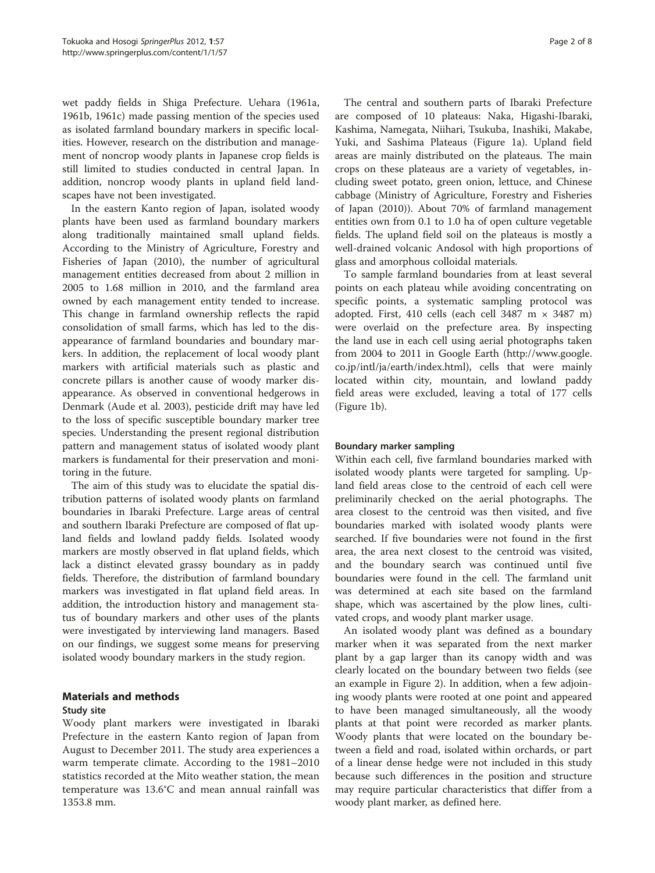wet paddy fields in Shiga Prefecture. Uehara [\(1961a](#page-7-0), [1961b](#page-7-0), [1961c\)](#page-7-0) made passing mention of the species used as isolated farmland boundary markers in specific localities. However, research on the distribution and management of noncrop woody plants in Japanese crop fields is still limited to studies conducted in central Japan. In addition, noncrop woody plants in upland field landscapes have not been investigated.

In the eastern Kanto region of Japan, isolated woody plants have been used as farmland boundary markers along traditionally maintained small upland fields. According to the Ministry of Agriculture, Forestry and Fisheries of Japan ([2010\)](#page-7-0), the number of agricultural management entities decreased from about 2 million in 2005 to 1.68 million in 2010, and the farmland area owned by each management entity tended to increase. This change in farmland ownership reflects the rapid consolidation of small farms, which has led to the disappearance of farmland boundaries and boundary markers. In addition, the replacement of local woody plant markers with artificial materials such as plastic and concrete pillars is another cause of woody marker disappearance. As observed in conventional hedgerows in Denmark (Aude et al. [2003\)](#page-7-0), pesticide drift may have led to the loss of specific susceptible boundary marker tree species. Understanding the present regional distribution pattern and management status of isolated woody plant markers is fundamental for their preservation and monitoring in the future.

The aim of this study was to elucidate the spatial distribution patterns of isolated woody plants on farmland boundaries in Ibaraki Prefecture. Large areas of central and southern Ibaraki Prefecture are composed of flat upland fields and lowland paddy fields. Isolated woody markers are mostly observed in flat upland fields, which lack a distinct elevated grassy boundary as in paddy fields. Therefore, the distribution of farmland boundary markers was investigated in flat upland field areas. In addition, the introduction history and management status of boundary markers and other uses of the plants were investigated by interviewing land managers. Based on our findings, we suggest some means for preserving isolated woody boundary markers in the study region.

## Materials and methods

## Study site

Woody plant markers were investigated in Ibaraki Prefecture in the eastern Kanto region of Japan from August to December 2011. The study area experiences a warm temperate climate. According to the 1981–2010 statistics recorded at the Mito weather station, the mean temperature was 13.6°C and mean annual rainfall was 1353.8 mm.

The central and southern parts of Ibaraki Prefecture are composed of 10 plateaus: Naka, Higashi-Ibaraki, Kashima, Namegata, Niihari, Tsukuba, Inashiki, Makabe, Yuki, and Sashima Plateaus (Figure [1](#page-2-0)a). Upland field areas are mainly distributed on the plateaus. The main crops on these plateaus are a variety of vegetables, including sweet potato, green onion, lettuce, and Chinese cabbage (Ministry of Agriculture, Forestry and Fisheries of Japan ([2010](#page-7-0))). About 70% of farmland management entities own from 0.1 to 1.0 ha of open culture vegetable fields. The upland field soil on the plateaus is mostly a well-drained volcanic Andosol with high proportions of glass and amorphous colloidal materials.

To sample farmland boundaries from at least several points on each plateau while avoiding concentrating on specific points, a systematic sampling protocol was adopted. First, 410 cells (each cell 3487 m  $\times$  3487 m) were overlaid on the prefecture area. By inspecting the land use in each cell using aerial photographs taken from 2004 to 2011 in Google Earth ([http://www.google.](http://www.google.co.jp/intl/ja/earth/index.html) [co.jp/intl/ja/earth/index.html\)](http://www.google.co.jp/intl/ja/earth/index.html), cells that were mainly located within city, mountain, and lowland paddy field areas were excluded, leaving a total of 177 cells (Figure [1b](#page-2-0)).

#### Boundary marker sampling

Within each cell, five farmland boundaries marked with isolated woody plants were targeted for sampling. Upland field areas close to the centroid of each cell were preliminarily checked on the aerial photographs. The area closest to the centroid was then visited, and five boundaries marked with isolated woody plants were searched. If five boundaries were not found in the first area, the area next closest to the centroid was visited, and the boundary search was continued until five boundaries were found in the cell. The farmland unit was determined at each site based on the farmland shape, which was ascertained by the plow lines, cultivated crops, and woody plant marker usage.

An isolated woody plant was defined as a boundary marker when it was separated from the next marker plant by a gap larger than its canopy width and was clearly located on the boundary between two fields (see an example in Figure [2](#page-2-0)). In addition, when a few adjoining woody plants were rooted at one point and appeared to have been managed simultaneously, all the woody plants at that point were recorded as marker plants. Woody plants that were located on the boundary between a field and road, isolated within orchards, or part of a linear dense hedge were not included in this study because such differences in the position and structure may require particular characteristics that differ from a woody plant marker, as defined here.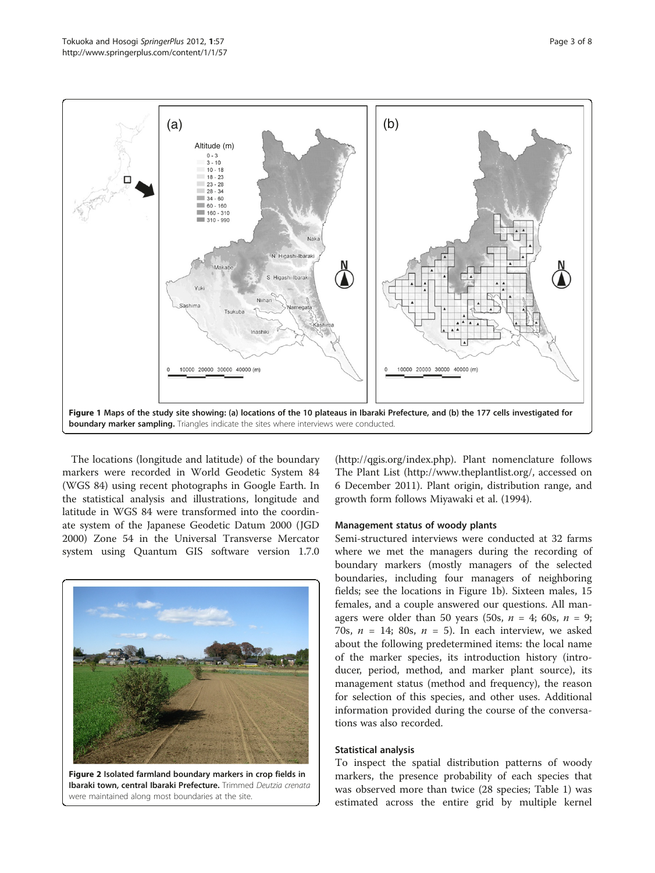<span id="page-2-0"></span>

The locations (longitude and latitude) of the boundary markers were recorded in World Geodetic System 84 (WGS 84) using recent photographs in Google Earth. In the statistical analysis and illustrations, longitude and latitude in WGS 84 were transformed into the coordinate system of the Japanese Geodetic Datum 2000 (JGD 2000) Zone 54 in the Universal Transverse Mercator system using Quantum GIS software version 1.7.0



Figure 2 Isolated farmland boundary markers in crop fields in Ibaraki town, central Ibaraki Prefecture. Trimmed Deutzia crenata were maintained along most boundaries at the site.

([http://qgis.org/index.php\)](http://qgis.org/index.php). Plant nomenclature follows The Plant List [\(http://www.theplantlist.org/](http://www.theplantlist.org/), accessed on 6 December 2011). Plant origin, distribution range, and growth form follows Miyawaki et al. ([1994](#page-7-0)).

#### Management status of woody plants

Semi-structured interviews were conducted at 32 farms where we met the managers during the recording of boundary markers (mostly managers of the selected boundaries, including four managers of neighboring fields; see the locations in Figure 1b). Sixteen males, 15 females, and a couple answered our questions. All managers were older than 50 years (50s,  $n = 4$ ; 60s,  $n = 9$ ; 70s,  $n = 14$ ; 80s,  $n = 5$ ). In each interview, we asked about the following predetermined items: the local name of the marker species, its introduction history (introducer, period, method, and marker plant source), its management status (method and frequency), the reason for selection of this species, and other uses. Additional information provided during the course of the conversations was also recorded.

#### Statistical analysis

To inspect the spatial distribution patterns of woody markers, the presence probability of each species that was observed more than twice (28 species; Table [1\)](#page-3-0) was estimated across the entire grid by multiple kernel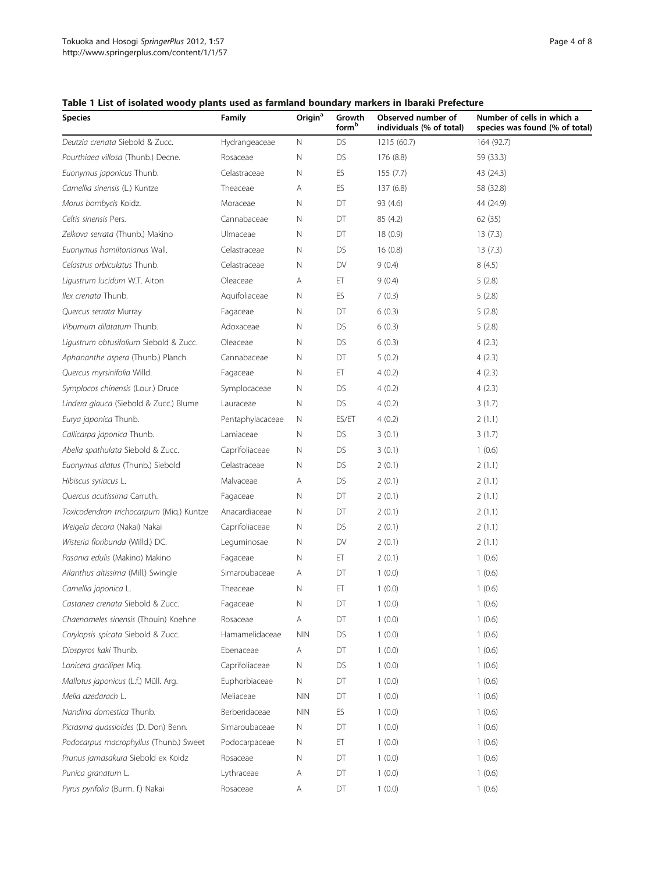## <span id="page-3-0"></span>Table 1 List of isolated woody plants used as farmland boundary markers in Ibaraki Prefecture

| ie i List of isolated woody plants ased as farmiand boundary markers in ibaraki i refectu |                  |                     |                             |                                                |                                                              |  |  |
|-------------------------------------------------------------------------------------------|------------------|---------------------|-----------------------------|------------------------------------------------|--------------------------------------------------------------|--|--|
| Species                                                                                   | Family           | Origin <sup>a</sup> | Growth<br>form <sup>b</sup> | Observed number of<br>individuals (% of total) | Number of cells in which a<br>species was found (% of total) |  |  |
| Deutzia crenata Siebold & Zucc.                                                           | Hydrangeaceae    | N                   | <b>DS</b>                   | 1215 (60.7)                                    | 164 (92.7)                                                   |  |  |
| Pourthiaea villosa (Thunb.) Decne.                                                        | Rosaceae         | Ν                   | DS                          | 176 (8.8)                                      | 59 (33.3)                                                    |  |  |
| Euonymus japonicus Thunb.                                                                 | Celastraceae     | Ν                   | ES                          | 155(7.7)                                       | 43 (24.3)                                                    |  |  |
| Camellia sinensis (L.) Kuntze                                                             | Theaceae         | Α                   | ES                          | 137(6.8)                                       | 58 (32.8)                                                    |  |  |
| Morus bombycis Koidz.                                                                     | Moraceae         | N                   | DT                          | 93 (4.6)                                       | 44 (24.9)                                                    |  |  |
| Celtis sinensis Pers.                                                                     | Cannabaceae      | N                   | DT                          | 85 (4.2)                                       | 62 (35)                                                      |  |  |
| Zelkova serrata (Thunb.) Makino                                                           | Ulmaceae         | Ν                   | DT                          | 18(0.9)                                        | 13(7.3)                                                      |  |  |
| Euonymus hamiltonianus Wall.                                                              | Celastraceae     | Ν                   | DS                          | 16(0.8)                                        | 13(7.3)                                                      |  |  |
| Celastrus orbiculatus Thunb.                                                              | Celastraceae     | Ν                   | DV                          | 9(0.4)                                         | 8(4.5)                                                       |  |  |
| Ligustrum lucidum W.T. Aiton                                                              | Oleaceae         | Α                   | ET                          | 9(0.4)                                         | 5(2.8)                                                       |  |  |
| <i>llex crenata</i> Thunb.                                                                | Aquifoliaceae    | Ν                   | ES                          | 7(0.3)                                         | 5(2.8)                                                       |  |  |
| Quercus serrata Murray                                                                    | Fagaceae         | N                   | DT                          | 6(0.3)                                         | 5(2.8)                                                       |  |  |
| Viburnum dilatatum Thunb.                                                                 | Adoxaceae        | Ν                   | DS                          | 6(0.3)                                         | 5(2.8)                                                       |  |  |
| Ligustrum obtusifolium Siebold & Zucc.                                                    | Oleaceae         | Ν                   | DS                          | 6(0.3)                                         | 4 (2.3)                                                      |  |  |
| Aphananthe aspera (Thunb.) Planch.                                                        | Cannabaceae      | Ν                   | DT                          | 5(0.2)                                         | 4(2.3)                                                       |  |  |
| Quercus myrsinifolia Willd.                                                               | Fagaceae         | Ν                   | ET                          | 4(0.2)                                         | 4 (2.3)                                                      |  |  |
| Symplocos chinensis (Lour.) Druce                                                         | Symplocaceae     | Ν                   | DS                          | 4(0.2)                                         | 4 (2.3)                                                      |  |  |
| Lindera glauca (Siebold & Zucc.) Blume                                                    | Lauraceae        | N                   | <b>DS</b>                   | 4(0.2)                                         | 3(1.7)                                                       |  |  |
| Eurya japonica Thunb.                                                                     | Pentaphylacaceae | N                   | ES/ET                       | 4(0.2)                                         | 2(1.1)                                                       |  |  |
| Callicarpa japonica Thunb.                                                                | Lamiaceae        | Ν                   | DS                          | 3(0.1)                                         | 3(1.7)                                                       |  |  |
| Abelia spathulata Siebold & Zucc.                                                         | Caprifoliaceae   | Ν                   | DS                          | 3(0.1)                                         | 1(0.6)                                                       |  |  |
| Euonymus alatus (Thunb.) Siebold                                                          | Celastraceae     | Ν                   | <b>DS</b>                   | 2(0.1)                                         | 2(1.1)                                                       |  |  |
| Hibiscus syriacus L.                                                                      | Malvaceae        | Α                   | DS                          | 2(0.1)                                         | 2(1.1)                                                       |  |  |
| Quercus acutissima Carruth.                                                               | Fagaceae         | N                   | DT                          | 2(0.1)                                         | 2(1.1)                                                       |  |  |
| Toxicodendron trichocarpum (Mig.) Kuntze                                                  | Anacardiaceae    | Ν                   | DT                          | 2(0.1)                                         | 2(1.1)                                                       |  |  |
| Weigela decora (Nakai) Nakai                                                              | Caprifoliaceae   | Ν                   | DS                          | 2(0.1)                                         | 2(1.1)                                                       |  |  |
| Wisteria floribunda (Willd.) DC.                                                          | Leguminosae      | Ν                   | DV                          | 2(0.1)                                         | 2(1.1)                                                       |  |  |
| Pasania edulis (Makino) Makino                                                            | Fagaceae         | Ν                   | ЕT                          | 2(0.1)                                         | 1(0.6)                                                       |  |  |
| Ailanthus altissima (Mill.) Swingle                                                       | Simaroubaceae    | A                   | DT                          | 1(0.0)                                         | 1(0.6)                                                       |  |  |
| Camellia japonica L.                                                                      | Theaceae         | N                   | ЕT                          | 1(0.0)                                         | 1(0.6)                                                       |  |  |
| Castanea crenata Siebold & Zucc.                                                          | Fagaceae         | Ν                   | DT                          | 1(0.0)                                         | 1(0.6)                                                       |  |  |
| Chaenomeles sinensis (Thouin) Koehne                                                      | Rosaceae         | Α                   | DT                          | 1(0.0)                                         | 1(0.6)                                                       |  |  |
| Corylopsis spicata Siebold & Zucc.                                                        | Hamamelidaceae   | <b>NIN</b>          | DS                          | 1(0.0)                                         | 1(0.6)                                                       |  |  |
| Diospyros kaki Thunb.                                                                     | Ebenaceae        | Α                   | DT                          | 1(0.0)                                         | 1(0.6)                                                       |  |  |
| Lonicera gracilipes Miq.                                                                  | Caprifoliaceae   | Ν                   | DS                          | 1(0.0)                                         | 1(0.6)                                                       |  |  |
| Mallotus japonicus (L.f.) Müll. Arg.                                                      | Euphorbiaceae    | Ν                   | DT                          | 1(0.0)                                         | 1(0.6)                                                       |  |  |
| Melia azedarach L.                                                                        | Meliaceae        | <b>NIN</b>          | DT                          | 1(0.0)                                         | 1(0.6)                                                       |  |  |
| Nandina domestica Thunb.                                                                  | Berberidaceae    | <b>NIN</b>          | ES                          | 1(0.0)                                         | 1(0.6)                                                       |  |  |
| Picrasma quassioides (D. Don) Benn.                                                       | Simaroubaceae    | Ν                   | DT                          | 1(0.0)                                         | 1(0.6)                                                       |  |  |
| Podocarpus macrophyllus (Thunb.) Sweet                                                    | Podocarpaceae    | Ν                   | ЕT                          | 1(0.0)                                         | 1(0.6)                                                       |  |  |
| Prunus jamasakura Siebold ex Koidz                                                        | Rosaceae         | Ν                   | DT                          | 1(0.0)                                         | 1(0.6)                                                       |  |  |
| Punica granatum L.                                                                        | Lythraceae       | Α                   | DT                          | 1(0.0)                                         | 1(0.6)                                                       |  |  |
| Pyrus pyrifolia (Burm. f.) Nakai                                                          | Rosaceae         | Α                   | DT                          | 1(0.0)                                         | 1(0.6)                                                       |  |  |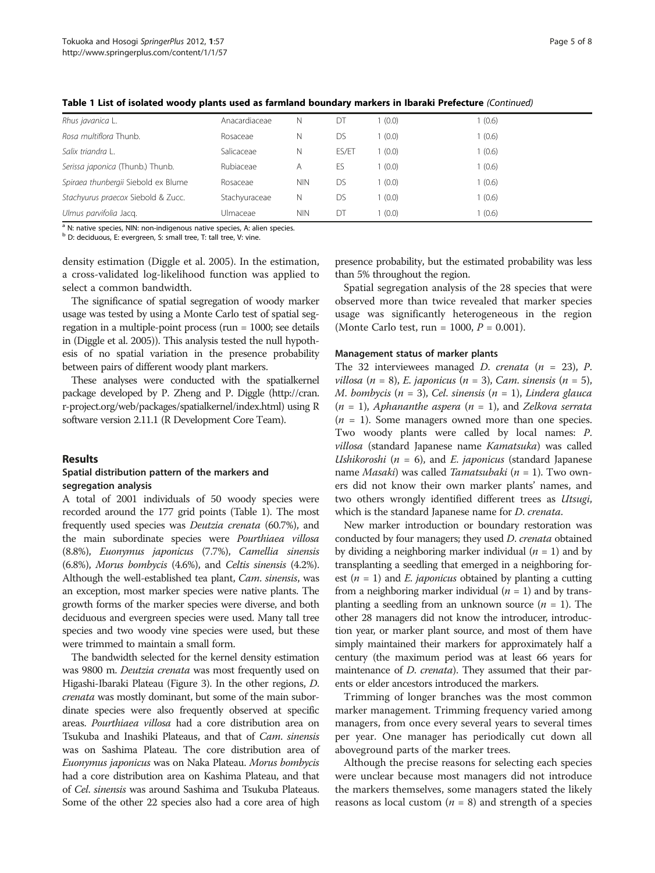| Rhus javanica L.                    | Anacardiaceae   | N          | DT    | (0.0) | (0.6)  |
|-------------------------------------|-----------------|------------|-------|-------|--------|
| Rosa multiflora Thunb.              | <b>Rosaceae</b> | Ν          | DS    | (0.0) | (0.6)  |
| Salix triandra L.                   | Salicaceae      | N          | ES/ET | (0.0) | 1(0.6) |
| Serissa japonica (Thunb.) Thunb.    | Rubiaceae       | A          | ES    | (0.0) | (0.6)  |
| Spiraea thunbergii Siebold ex Blume | Rosaceae        | <b>NIN</b> | DS    | (0.0) | (0.6)  |
| Stachyurus praecox Siebold & Zucc.  | Stachyuraceae   | N          | DS    | (0.0) | 1(0.6) |
| Ulmus parvifolia Jacq.              | Ulmaceae        | <b>NIN</b> | DT    | (0.0) | (0.6)  |

Table 1 List of isolated woody plants used as farmland boundary markers in Ibaraki Prefecture (Continued)

<sup>a</sup> N: native species, NIN: non-indigenous native species, A: alien species.

<sup>b</sup> D: deciduous, E: evergreen, S: small tree, T: tall tree, V: vine.

density estimation (Diggle et al. [2005](#page-7-0)). In the estimation, a cross-validated log-likelihood function was applied to select a common bandwidth.

The significance of spatial segregation of woody marker usage was tested by using a Monte Carlo test of spatial segregation in a multiple-point process (run = 1000; see details in (Diggle et al. [2005\)](#page-7-0)). This analysis tested the null hypothesis of no spatial variation in the presence probability between pairs of different woody plant markers.

These analyses were conducted with the spatialkernel package developed by P. Zheng and P. Diggle [\(http://cran.](http://cran.r-project.org/web/packages/spatialkernel/index.html) [r-project.org/web/packages/spatialkernel/index.html\)](http://cran.r-project.org/web/packages/spatialkernel/index.html) using R software version 2.11.1 (R Development Core Team).

### Results

### Spatial distribution pattern of the markers and segregation analysis

A total of 2001 individuals of 50 woody species were recorded around the 177 grid points (Table [1](#page-3-0)). The most frequently used species was Deutzia crenata (60.7%), and the main subordinate species were Pourthiaea villosa (8.8%), Euonymus japonicus (7.7%), Camellia sinensis (6.8%), Morus bombycis (4.6%), and Celtis sinensis (4.2%). Although the well-established tea plant, *Cam. sinensis*, was an exception, most marker species were native plants. The growth forms of the marker species were diverse, and both deciduous and evergreen species were used. Many tall tree species and two woody vine species were used, but these were trimmed to maintain a small form.

The bandwidth selected for the kernel density estimation was 9800 m. Deutzia crenata was most frequently used on Higashi-Ibaraki Plateau (Figure [3\)](#page-5-0). In the other regions, D. crenata was mostly dominant, but some of the main subordinate species were also frequently observed at specific areas. Pourthiaea villosa had a core distribution area on Tsukuba and Inashiki Plateaus, and that of Cam. sinensis was on Sashima Plateau. The core distribution area of Euonymus japonicus was on Naka Plateau. Morus bombycis had a core distribution area on Kashima Plateau, and that of Cel. sinensis was around Sashima and Tsukuba Plateaus. Some of the other 22 species also had a core area of high presence probability, but the estimated probability was less than 5% throughout the region.

Spatial segregation analysis of the 28 species that were observed more than twice revealed that marker species usage was significantly heterogeneous in the region (Monte Carlo test, run = 1000,  $P = 0.001$ ).

#### Management status of marker plants

The 32 interviewees managed *D. crenata*  $(n = 23)$ , *P.* villosa (n = 8), E. japonicus (n = 3), Cam. sinensis (n = 5), M. bombycis ( $n = 3$ ), Cel. sinensis ( $n = 1$ ), Lindera glauca  $(n = 1)$ , Aphananthe aspera  $(n = 1)$ , and Zelkova serrata  $(n = 1)$ . Some managers owned more than one species. Two woody plants were called by local names: P. villosa (standard Japanese name Kamatsuka) was called Ushikoroshi ( $n = 6$ ), and E. japonicus (standard Japanese name Masaki) was called Tamatsubaki ( $n = 1$ ). Two owners did not know their own marker plants' names, and two others wrongly identified different trees as Utsugi, which is the standard Japanese name for *D. crenata*.

New marker introduction or boundary restoration was conducted by four managers; they used D. crenata obtained by dividing a neighboring marker individual  $(n = 1)$  and by transplanting a seedling that emerged in a neighboring forest  $(n = 1)$  and *E. japonicus* obtained by planting a cutting from a neighboring marker individual  $(n = 1)$  and by transplanting a seedling from an unknown source  $(n = 1)$ . The other 28 managers did not know the introducer, introduction year, or marker plant source, and most of them have simply maintained their markers for approximately half a century (the maximum period was at least 66 years for maintenance of *D. crenata*). They assumed that their parents or elder ancestors introduced the markers.

Trimming of longer branches was the most common marker management. Trimming frequency varied among managers, from once every several years to several times per year. One manager has periodically cut down all aboveground parts of the marker trees.

Although the precise reasons for selecting each species were unclear because most managers did not introduce the markers themselves, some managers stated the likely reasons as local custom ( $n = 8$ ) and strength of a species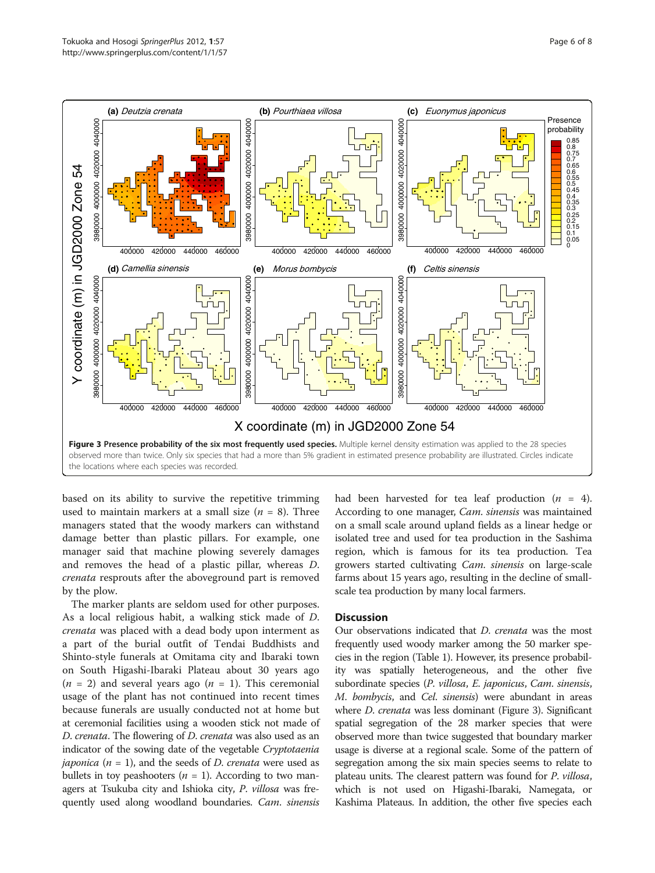<span id="page-5-0"></span>

based on its ability to survive the repetitive trimming used to maintain markers at a small size  $(n = 8)$ . Three managers stated that the woody markers can withstand damage better than plastic pillars. For example, one manager said that machine plowing severely damages and removes the head of a plastic pillar, whereas D. crenata resprouts after the aboveground part is removed by the plow.

The marker plants are seldom used for other purposes. As a local religious habit, a walking stick made of D. crenata was placed with a dead body upon interment as a part of the burial outfit of Tendai Buddhists and Shinto-style funerals at Omitama city and Ibaraki town on South Higashi-Ibaraki Plateau about 30 years ago  $(n = 2)$  and several years ago  $(n = 1)$ . This ceremonial usage of the plant has not continued into recent times because funerals are usually conducted not at home but at ceremonial facilities using a wooden stick not made of D. crenata. The flowering of D. crenata was also used as an indicator of the sowing date of the vegetable Cryptotaenia *japonica* ( $n = 1$ ), and the seeds of *D. crenata* were used as bullets in toy peashooters ( $n = 1$ ). According to two managers at Tsukuba city and Ishioka city, P. villosa was frequently used along woodland boundaries. Cam. sinensis

had been harvested for tea leaf production ( $n = 4$ ). According to one manager, Cam. sinensis was maintained on a small scale around upland fields as a linear hedge or isolated tree and used for tea production in the Sashima region, which is famous for its tea production. Tea growers started cultivating Cam. sinensis on large-scale farms about 15 years ago, resulting in the decline of smallscale tea production by many local farmers.

## **Discussion**

Our observations indicated that D. crenata was the most frequently used woody marker among the 50 marker species in the region (Table [1\)](#page-3-0). However, its presence probability was spatially heterogeneous, and the other five subordinate species (P. villosa, E. japonicus, Cam. sinensis, M. bombycis, and Cel. sinensis) were abundant in areas where *D. crenata* was less dominant (Figure 3). Significant spatial segregation of the 28 marker species that were observed more than twice suggested that boundary marker usage is diverse at a regional scale. Some of the pattern of segregation among the six main species seems to relate to plateau units. The clearest pattern was found for P. villosa, which is not used on Higashi-Ibaraki, Namegata, or Kashima Plateaus. In addition, the other five species each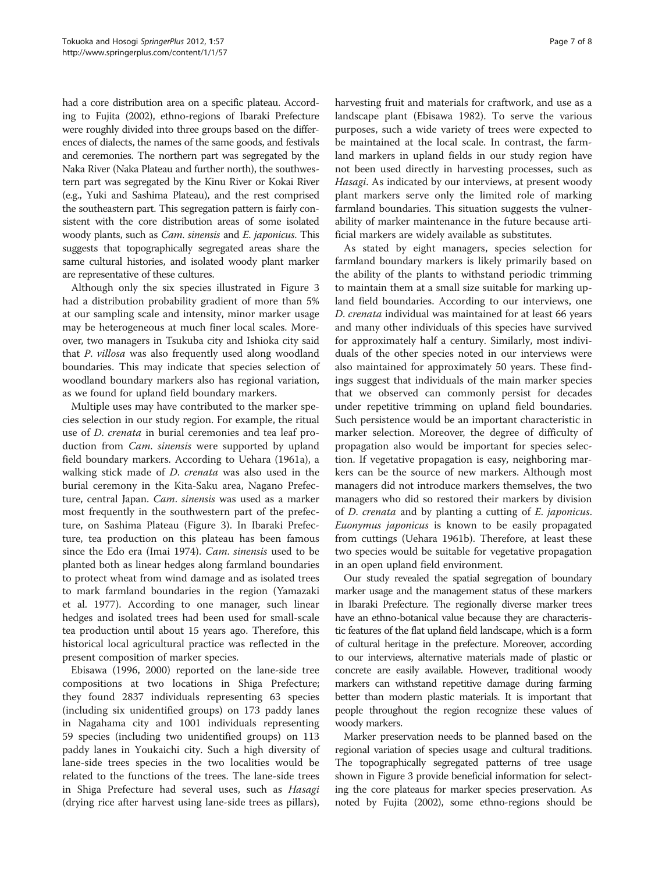had a core distribution area on a specific plateau. According to Fujita [\(2002\)](#page-7-0), ethno-regions of Ibaraki Prefecture were roughly divided into three groups based on the differences of dialects, the names of the same goods, and festivals and ceremonies. The northern part was segregated by the Naka River (Naka Plateau and further north), the southwestern part was segregated by the Kinu River or Kokai River (e.g., Yuki and Sashima Plateau), and the rest comprised the southeastern part. This segregation pattern is fairly consistent with the core distribution areas of some isolated woody plants, such as Cam. sinensis and E. japonicus. This suggests that topographically segregated areas share the same cultural histories, and isolated woody plant marker are representative of these cultures.

Although only the six species illustrated in Figure [3](#page-5-0) had a distribution probability gradient of more than 5% at our sampling scale and intensity, minor marker usage may be heterogeneous at much finer local scales. Moreover, two managers in Tsukuba city and Ishioka city said that P. villosa was also frequently used along woodland boundaries. This may indicate that species selection of woodland boundary markers also has regional variation, as we found for upland field boundary markers.

Multiple uses may have contributed to the marker species selection in our study region. For example, the ritual use of D. crenata in burial ceremonies and tea leaf production from Cam. sinensis were supported by upland field boundary markers. According to Uehara [\(1961a](#page-7-0)), a walking stick made of D. crenata was also used in the burial ceremony in the Kita-Saku area, Nagano Prefecture, central Japan. Cam. sinensis was used as a marker most frequently in the southwestern part of the prefecture, on Sashima Plateau (Figure [3\)](#page-5-0). In Ibaraki Prefecture, tea production on this plateau has been famous since the Edo era (Imai [1974\)](#page-7-0). Cam. sinensis used to be planted both as linear hedges along farmland boundaries to protect wheat from wind damage and as isolated trees to mark farmland boundaries in the region (Yamazaki et al. [1977](#page-7-0)). According to one manager, such linear hedges and isolated trees had been used for small-scale tea production until about 15 years ago. Therefore, this historical local agricultural practice was reflected in the present composition of marker species.

Ebisawa ([1996](#page-7-0), [2000\)](#page-7-0) reported on the lane-side tree compositions at two locations in Shiga Prefecture; they found 2837 individuals representing 63 species (including six unidentified groups) on 173 paddy lanes in Nagahama city and 1001 individuals representing 59 species (including two unidentified groups) on 113 paddy lanes in Youkaichi city. Such a high diversity of lane-side trees species in the two localities would be related to the functions of the trees. The lane-side trees in Shiga Prefecture had several uses, such as Hasagi (drying rice after harvest using lane-side trees as pillars), harvesting fruit and materials for craftwork, and use as a landscape plant (Ebisawa [1982\)](#page-7-0). To serve the various purposes, such a wide variety of trees were expected to be maintained at the local scale. In contrast, the farmland markers in upland fields in our study region have not been used directly in harvesting processes, such as Hasagi. As indicated by our interviews, at present woody plant markers serve only the limited role of marking farmland boundaries. This situation suggests the vulnerability of marker maintenance in the future because artificial markers are widely available as substitutes.

As stated by eight managers, species selection for farmland boundary markers is likely primarily based on the ability of the plants to withstand periodic trimming to maintain them at a small size suitable for marking upland field boundaries. According to our interviews, one D. crenata individual was maintained for at least 66 years and many other individuals of this species have survived for approximately half a century. Similarly, most individuals of the other species noted in our interviews were also maintained for approximately 50 years. These findings suggest that individuals of the main marker species that we observed can commonly persist for decades under repetitive trimming on upland field boundaries. Such persistence would be an important characteristic in marker selection. Moreover, the degree of difficulty of propagation also would be important for species selection. If vegetative propagation is easy, neighboring markers can be the source of new markers. Although most managers did not introduce markers themselves, the two managers who did so restored their markers by division of D. crenata and by planting a cutting of E. japonicus. Euonymus japonicus is known to be easily propagated from cuttings (Uehara [1961b\)](#page-7-0). Therefore, at least these two species would be suitable for vegetative propagation in an open upland field environment.

Our study revealed the spatial segregation of boundary marker usage and the management status of these markers in Ibaraki Prefecture. The regionally diverse marker trees have an ethno-botanical value because they are characteristic features of the flat upland field landscape, which is a form of cultural heritage in the prefecture. Moreover, according to our interviews, alternative materials made of plastic or concrete are easily available. However, traditional woody markers can withstand repetitive damage during farming better than modern plastic materials. It is important that people throughout the region recognize these values of woody markers.

Marker preservation needs to be planned based on the regional variation of species usage and cultural traditions. The topographically segregated patterns of tree usage shown in Figure [3](#page-5-0) provide beneficial information for selecting the core plateaus for marker species preservation. As noted by Fujita ([2002](#page-7-0)), some ethno-regions should be